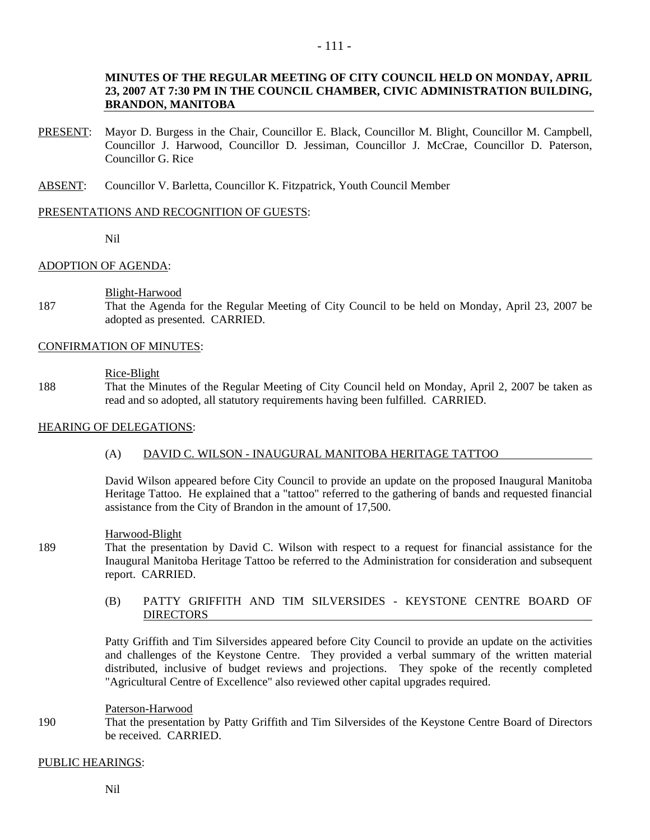# - 111 -

# **MINUTES OF THE REGULAR MEETING OF CITY COUNCIL HELD ON MONDAY, APRIL 23, 2007 AT 7:30 PM IN THE COUNCIL CHAMBER, CIVIC ADMINISTRATION BUILDING, BRANDON, MANITOBA**

- PRESENT: Mayor D. Burgess in the Chair, Councillor E. Black, Councillor M. Blight, Councillor M. Campbell, Councillor J. Harwood, Councillor D. Jessiman, Councillor J. McCrae, Councillor D. Paterson, Councillor G. Rice
- ABSENT: Councillor V. Barletta, Councillor K. Fitzpatrick, Youth Council Member

### PRESENTATIONS AND RECOGNITION OF GUESTS:

Nil

# ADOPTION OF AGENDA:

Blight-Harwood

187 That the Agenda for the Regular Meeting of City Council to be held on Monday, April 23, 2007 be adopted as presented. CARRIED.

# CONFIRMATION OF MINUTES:

#### Rice-Blight

188 That the Minutes of the Regular Meeting of City Council held on Monday, April 2, 2007 be taken as read and so adopted, all statutory requirements having been fulfilled. CARRIED.

# HEARING OF DELEGATIONS:

# (A) DAVID C. WILSON - INAUGURAL MANITOBA HERITAGE TATTOO

David Wilson appeared before City Council to provide an update on the proposed Inaugural Manitoba Heritage Tattoo. He explained that a "tattoo" referred to the gathering of bands and requested financial assistance from the City of Brandon in the amount of 17,500.

#### Harwood-Blight

- 189 That the presentation by David C. Wilson with respect to a request for financial assistance for the Inaugural Manitoba Heritage Tattoo be referred to the Administration for consideration and subsequent report. CARRIED.
	- (B) PATTY GRIFFITH AND TIM SILVERSIDES KEYSTONE CENTRE BOARD OF DIRECTORS

Patty Griffith and Tim Silversides appeared before City Council to provide an update on the activities and challenges of the Keystone Centre. They provided a verbal summary of the written material distributed, inclusive of budget reviews and projections. They spoke of the recently completed "Agricultural Centre of Excellence" also reviewed other capital upgrades required.

#### Paterson-Harwood

190 That the presentation by Patty Griffith and Tim Silversides of the Keystone Centre Board of Directors be received. CARRIED.

# PUBLIC HEARINGS: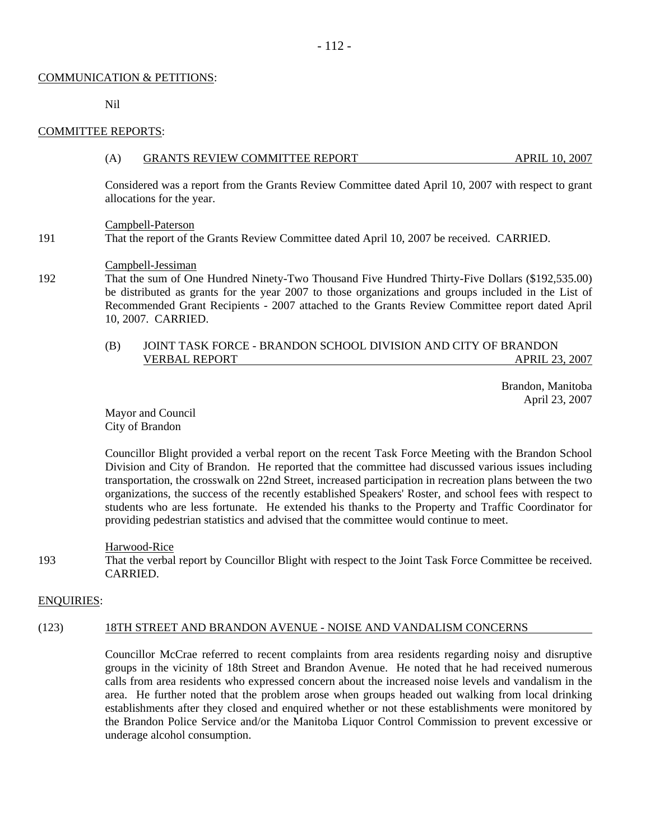### COMMUNICATION & PETITIONS:

Nil

### COMMITTEE REPORTS:

#### (A) GRANTS REVIEW COMMITTEE REPORT APRIL 10, 2007

Considered was a report from the Grants Review Committee dated April 10, 2007 with respect to grant allocations for the year.

#### Campbell-Paterson

191 That the report of the Grants Review Committee dated April 10, 2007 be received. CARRIED.

# Campbell-Jessiman

192 That the sum of One Hundred Ninety-Two Thousand Five Hundred Thirty-Five Dollars (\$192,535.00) be distributed as grants for the year 2007 to those organizations and groups included in the List of Recommended Grant Recipients - 2007 attached to the Grants Review Committee report dated April 10, 2007. CARRIED.

# (B) JOINT TASK FORCE - BRANDON SCHOOL DIVISION AND CITY OF BRANDON VERBAL REPORT APRIL 23, 2007

 Brandon, Manitoba April 23, 2007

Mayor and Council City of Brandon

Councillor Blight provided a verbal report on the recent Task Force Meeting with the Brandon School Division and City of Brandon. He reported that the committee had discussed various issues including transportation, the crosswalk on 22nd Street, increased participation in recreation plans between the two organizations, the success of the recently established Speakers' Roster, and school fees with respect to students who are less fortunate. He extended his thanks to the Property and Traffic Coordinator for providing pedestrian statistics and advised that the committee would continue to meet.

#### Harwood-Rice

193 That the verbal report by Councillor Blight with respect to the Joint Task Force Committee be received. CARRIED.

# ENQUIRIES:

# (123) 18TH STREET AND BRANDON AVENUE - NOISE AND VANDALISM CONCERNS

Councillor McCrae referred to recent complaints from area residents regarding noisy and disruptive groups in the vicinity of 18th Street and Brandon Avenue. He noted that he had received numerous calls from area residents who expressed concern about the increased noise levels and vandalism in the area. He further noted that the problem arose when groups headed out walking from local drinking establishments after they closed and enquired whether or not these establishments were monitored by the Brandon Police Service and/or the Manitoba Liquor Control Commission to prevent excessive or underage alcohol consumption.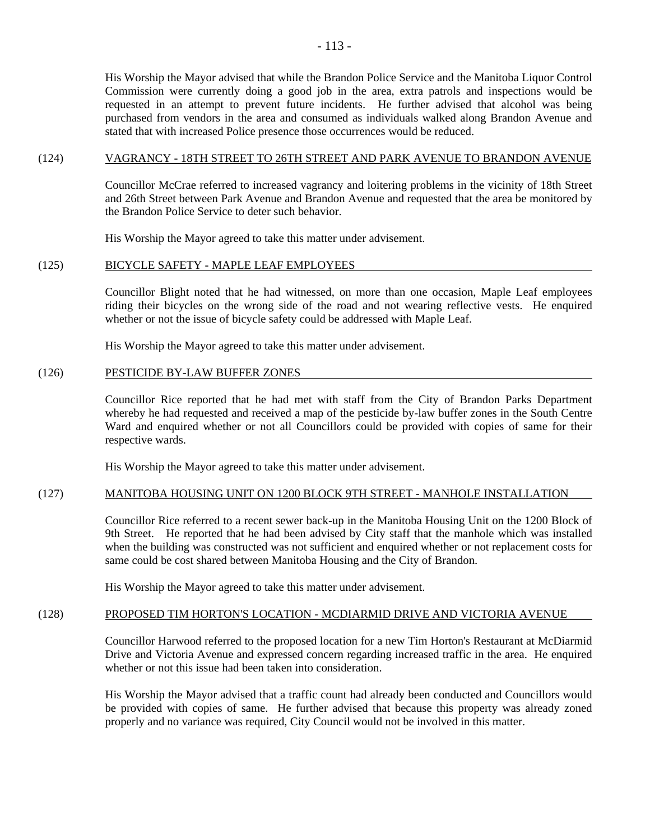# (124) VAGRANCY - 18TH STREET TO 26TH STREET AND PARK AVENUE TO BRANDON AVENUE

stated that with increased Police presence those occurrences would be reduced.

Councillor McCrae referred to increased vagrancy and loitering problems in the vicinity of 18th Street and 26th Street between Park Avenue and Brandon Avenue and requested that the area be monitored by the Brandon Police Service to deter such behavior.

His Worship the Mayor agreed to take this matter under advisement.

# (125) BICYCLE SAFETY - MAPLE LEAF EMPLOYEES

Councillor Blight noted that he had witnessed, on more than one occasion, Maple Leaf employees riding their bicycles on the wrong side of the road and not wearing reflective vests. He enquired whether or not the issue of bicycle safety could be addressed with Maple Leaf.

His Worship the Mayor agreed to take this matter under advisement.

#### (126) PESTICIDE BY-LAW BUFFER ZONES

Councillor Rice reported that he had met with staff from the City of Brandon Parks Department whereby he had requested and received a map of the pesticide by-law buffer zones in the South Centre Ward and enquired whether or not all Councillors could be provided with copies of same for their respective wards.

His Worship the Mayor agreed to take this matter under advisement.

# (127) MANITOBA HOUSING UNIT ON 1200 BLOCK 9TH STREET - MANHOLE INSTALLATION

Councillor Rice referred to a recent sewer back-up in the Manitoba Housing Unit on the 1200 Block of 9th Street. He reported that he had been advised by City staff that the manhole which was installed when the building was constructed was not sufficient and enquired whether or not replacement costs for same could be cost shared between Manitoba Housing and the City of Brandon.

His Worship the Mayor agreed to take this matter under advisement.

#### (128) PROPOSED TIM HORTON'S LOCATION - MCDIARMID DRIVE AND VICTORIA AVENUE

Councillor Harwood referred to the proposed location for a new Tim Horton's Restaurant at McDiarmid Drive and Victoria Avenue and expressed concern regarding increased traffic in the area. He enquired whether or not this issue had been taken into consideration.

His Worship the Mayor advised that a traffic count had already been conducted and Councillors would be provided with copies of same. He further advised that because this property was already zoned properly and no variance was required, City Council would not be involved in this matter.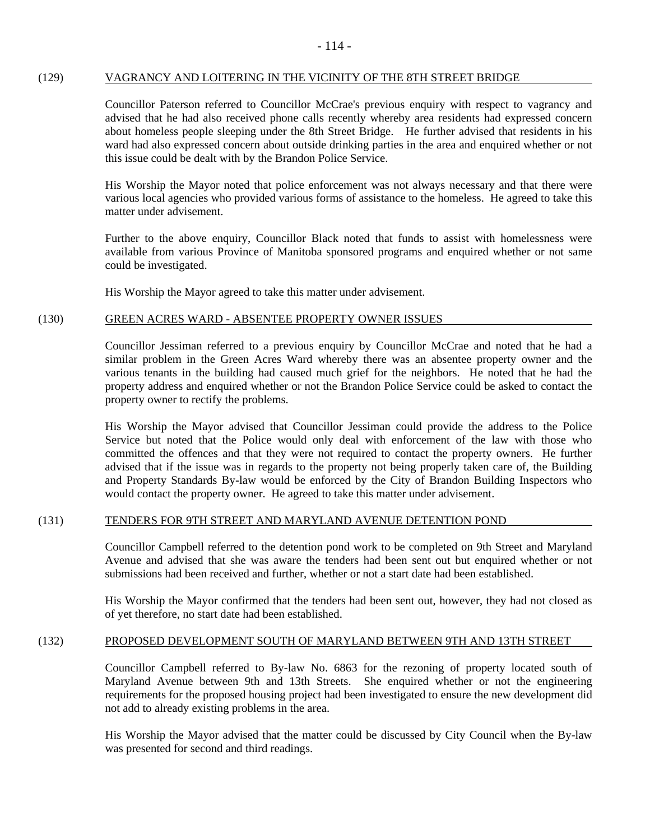### (129) VAGRANCY AND LOITERING IN THE VICINITY OF THE 8TH STREET BRIDGE

Councillor Paterson referred to Councillor McCrae's previous enquiry with respect to vagrancy and advised that he had also received phone calls recently whereby area residents had expressed concern about homeless people sleeping under the 8th Street Bridge. He further advised that residents in his ward had also expressed concern about outside drinking parties in the area and enquired whether or not this issue could be dealt with by the Brandon Police Service.

His Worship the Mayor noted that police enforcement was not always necessary and that there were various local agencies who provided various forms of assistance to the homeless. He agreed to take this matter under advisement.

Further to the above enquiry, Councillor Black noted that funds to assist with homelessness were available from various Province of Manitoba sponsored programs and enquired whether or not same could be investigated.

His Worship the Mayor agreed to take this matter under advisement.

# (130) GREEN ACRES WARD - ABSENTEE PROPERTY OWNER ISSUES

Councillor Jessiman referred to a previous enquiry by Councillor McCrae and noted that he had a similar problem in the Green Acres Ward whereby there was an absentee property owner and the various tenants in the building had caused much grief for the neighbors. He noted that he had the property address and enquired whether or not the Brandon Police Service could be asked to contact the property owner to rectify the problems.

His Worship the Mayor advised that Councillor Jessiman could provide the address to the Police Service but noted that the Police would only deal with enforcement of the law with those who committed the offences and that they were not required to contact the property owners. He further advised that if the issue was in regards to the property not being properly taken care of, the Building and Property Standards By-law would be enforced by the City of Brandon Building Inspectors who would contact the property owner. He agreed to take this matter under advisement.

# (131) TENDERS FOR 9TH STREET AND MARYLAND AVENUE DETENTION POND

Councillor Campbell referred to the detention pond work to be completed on 9th Street and Maryland Avenue and advised that she was aware the tenders had been sent out but enquired whether or not submissions had been received and further, whether or not a start date had been established.

His Worship the Mayor confirmed that the tenders had been sent out, however, they had not closed as of yet therefore, no start date had been established.

# (132) PROPOSED DEVELOPMENT SOUTH OF MARYLAND BETWEEN 9TH AND 13TH STREET

Councillor Campbell referred to By-law No. 6863 for the rezoning of property located south of Maryland Avenue between 9th and 13th Streets. She enquired whether or not the engineering requirements for the proposed housing project had been investigated to ensure the new development did not add to already existing problems in the area.

His Worship the Mayor advised that the matter could be discussed by City Council when the By-law was presented for second and third readings.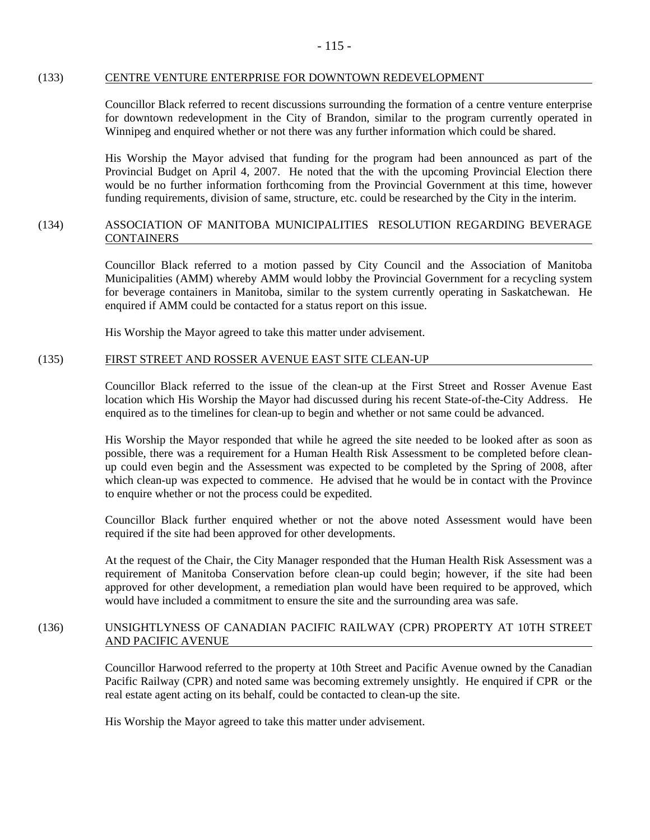#### (133) CENTRE VENTURE ENTERPRISE FOR DOWNTOWN REDEVELOPMENT

Councillor Black referred to recent discussions surrounding the formation of a centre venture enterprise for downtown redevelopment in the City of Brandon, similar to the program currently operated in Winnipeg and enquired whether or not there was any further information which could be shared.

His Worship the Mayor advised that funding for the program had been announced as part of the Provincial Budget on April 4, 2007. He noted that the with the upcoming Provincial Election there would be no further information forthcoming from the Provincial Government at this time, however funding requirements, division of same, structure, etc. could be researched by the City in the interim.

# (134) ASSOCIATION OF MANITOBA MUNICIPALITIES RESOLUTION REGARDING BEVERAGE CONTAINERS

Councillor Black referred to a motion passed by City Council and the Association of Manitoba Municipalities (AMM) whereby AMM would lobby the Provincial Government for a recycling system for beverage containers in Manitoba, similar to the system currently operating in Saskatchewan. He enquired if AMM could be contacted for a status report on this issue.

His Worship the Mayor agreed to take this matter under advisement.

#### (135) FIRST STREET AND ROSSER AVENUE EAST SITE CLEAN-UP

Councillor Black referred to the issue of the clean-up at the First Street and Rosser Avenue East location which His Worship the Mayor had discussed during his recent State-of-the-City Address. He enquired as to the timelines for clean-up to begin and whether or not same could be advanced.

His Worship the Mayor responded that while he agreed the site needed to be looked after as soon as possible, there was a requirement for a Human Health Risk Assessment to be completed before cleanup could even begin and the Assessment was expected to be completed by the Spring of 2008, after which clean-up was expected to commence. He advised that he would be in contact with the Province to enquire whether or not the process could be expedited.

Councillor Black further enquired whether or not the above noted Assessment would have been required if the site had been approved for other developments.

At the request of the Chair, the City Manager responded that the Human Health Risk Assessment was a requirement of Manitoba Conservation before clean-up could begin; however, if the site had been approved for other development, a remediation plan would have been required to be approved, which would have included a commitment to ensure the site and the surrounding area was safe.

# (136) UNSIGHTLYNESS OF CANADIAN PACIFIC RAILWAY (CPR) PROPERTY AT 10TH STREET AND PACIFIC AVENUE

Councillor Harwood referred to the property at 10th Street and Pacific Avenue owned by the Canadian Pacific Railway (CPR) and noted same was becoming extremely unsightly. He enquired if CPR or the real estate agent acting on its behalf, could be contacted to clean-up the site.

His Worship the Mayor agreed to take this matter under advisement.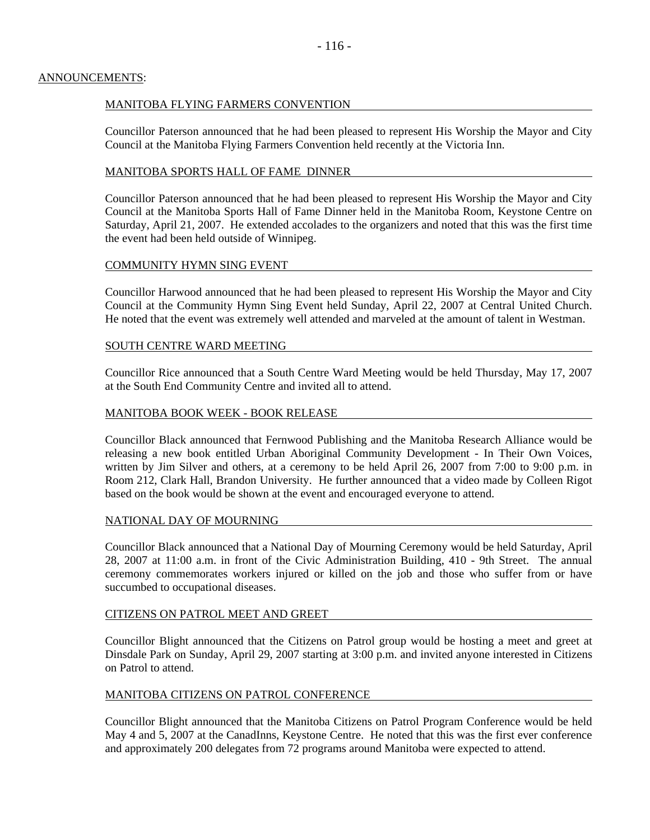### ANNOUNCEMENTS:

# MANITOBA FLYING FARMERS CONVENTION

Councillor Paterson announced that he had been pleased to represent His Worship the Mayor and City Council at the Manitoba Flying Farmers Convention held recently at the Victoria Inn.

### MANITOBA SPORTS HALL OF FAME DINNER

Councillor Paterson announced that he had been pleased to represent His Worship the Mayor and City Council at the Manitoba Sports Hall of Fame Dinner held in the Manitoba Room, Keystone Centre on Saturday, April 21, 2007. He extended accolades to the organizers and noted that this was the first time the event had been held outside of Winnipeg.

# COMMUNITY HYMN SING EVENT

Councillor Harwood announced that he had been pleased to represent His Worship the Mayor and City Council at the Community Hymn Sing Event held Sunday, April 22, 2007 at Central United Church. He noted that the event was extremely well attended and marveled at the amount of talent in Westman.

#### SOUTH CENTRE WARD MEETING

Councillor Rice announced that a South Centre Ward Meeting would be held Thursday, May 17, 2007 at the South End Community Centre and invited all to attend.

#### MANITOBA BOOK WEEK - BOOK RELEASE

Councillor Black announced that Fernwood Publishing and the Manitoba Research Alliance would be releasing a new book entitled Urban Aboriginal Community Development - In Their Own Voices, written by Jim Silver and others, at a ceremony to be held April 26, 2007 from 7:00 to 9:00 p.m. in Room 212, Clark Hall, Brandon University. He further announced that a video made by Colleen Rigot based on the book would be shown at the event and encouraged everyone to attend.

#### NATIONAL DAY OF MOURNING

Councillor Black announced that a National Day of Mourning Ceremony would be held Saturday, April 28, 2007 at 11:00 a.m. in front of the Civic Administration Building, 410 - 9th Street. The annual ceremony commemorates workers injured or killed on the job and those who suffer from or have succumbed to occupational diseases.

### CITIZENS ON PATROL MEET AND GREET

Councillor Blight announced that the Citizens on Patrol group would be hosting a meet and greet at Dinsdale Park on Sunday, April 29, 2007 starting at 3:00 p.m. and invited anyone interested in Citizens on Patrol to attend.

# MANITOBA CITIZENS ON PATROL CONFERENCE

Councillor Blight announced that the Manitoba Citizens on Patrol Program Conference would be held May 4 and 5, 2007 at the CanadInns, Keystone Centre. He noted that this was the first ever conference and approximately 200 delegates from 72 programs around Manitoba were expected to attend.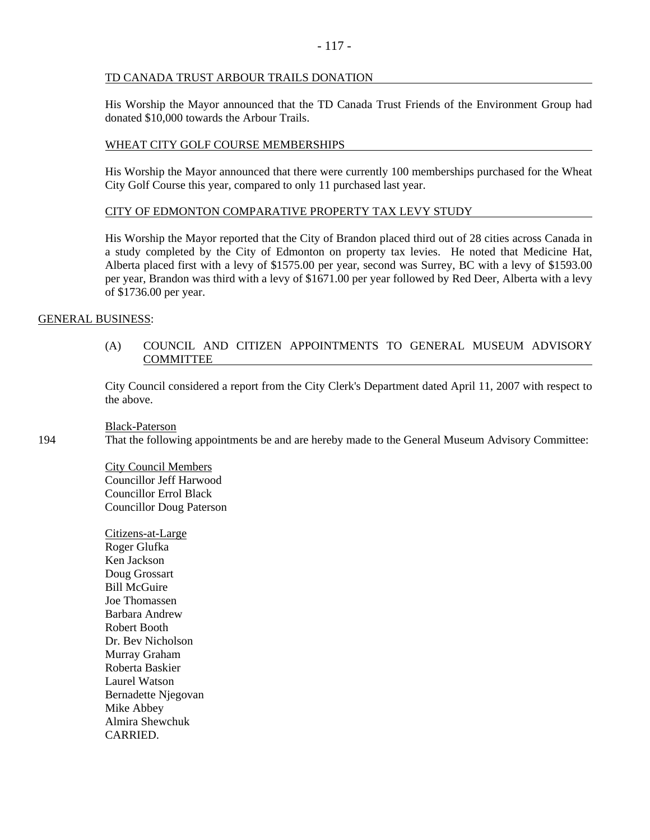### TD CANADA TRUST ARBOUR TRAILS DONATION

His Worship the Mayor announced that the TD Canada Trust Friends of the Environment Group had donated \$10,000 towards the Arbour Trails.

# WHEAT CITY GOLF COURSE MEMBERSHIPS

His Worship the Mayor announced that there were currently 100 memberships purchased for the Wheat City Golf Course this year, compared to only 11 purchased last year.

# CITY OF EDMONTON COMPARATIVE PROPERTY TAX LEVY STUDY

His Worship the Mayor reported that the City of Brandon placed third out of 28 cities across Canada in a study completed by the City of Edmonton on property tax levies. He noted that Medicine Hat, Alberta placed first with a levy of \$1575.00 per year, second was Surrey, BC with a levy of \$1593.00 per year, Brandon was third with a levy of \$1671.00 per year followed by Red Deer, Alberta with a levy of \$1736.00 per year.

# GENERAL BUSINESS:

# (A) COUNCIL AND CITIZEN APPOINTMENTS TO GENERAL MUSEUM ADVISORY COMMITTEE

City Council considered a report from the City Clerk's Department dated April 11, 2007 with respect to the above.

Black-Paterson

194 That the following appointments be and are hereby made to the General Museum Advisory Committee:

City Council Members Councillor Jeff Harwood Councillor Errol Black Councillor Doug Paterson

Citizens-at-Large Roger Glufka Ken Jackson Doug Grossart Bill McGuire Joe Thomassen Barbara Andrew Robert Booth Dr. Bev Nicholson Murray Graham Roberta Baskier Laurel Watson Bernadette Njegovan Mike Abbey Almira Shewchuk CARRIED.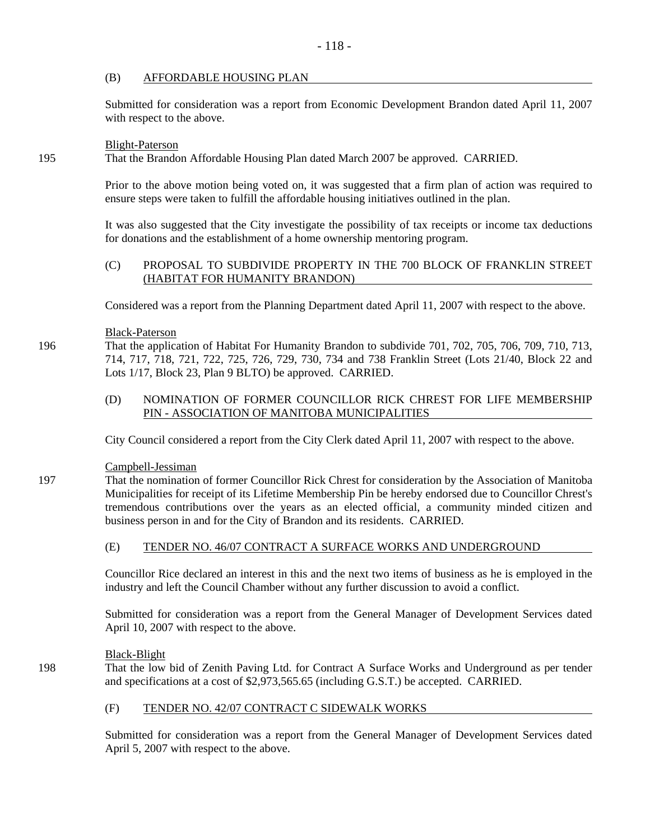# (B) AFFORDABLE HOUSING PLAN

Submitted for consideration was a report from Economic Development Brandon dated April 11, 2007 with respect to the above.

#### Blight-Paterson

195 That the Brandon Affordable Housing Plan dated March 2007 be approved. CARRIED.

Prior to the above motion being voted on, it was suggested that a firm plan of action was required to ensure steps were taken to fulfill the affordable housing initiatives outlined in the plan.

It was also suggested that the City investigate the possibility of tax receipts or income tax deductions for donations and the establishment of a home ownership mentoring program.

# (C) PROPOSAL TO SUBDIVIDE PROPERTY IN THE 700 BLOCK OF FRANKLIN STREET (HABITAT FOR HUMANITY BRANDON)

Considered was a report from the Planning Department dated April 11, 2007 with respect to the above.

# Black-Paterson

196 That the application of Habitat For Humanity Brandon to subdivide 701, 702, 705, 706, 709, 710, 713, 714, 717, 718, 721, 722, 725, 726, 729, 730, 734 and 738 Franklin Street (Lots 21/40, Block 22 and Lots 1/17, Block 23, Plan 9 BLTO) be approved. CARRIED.

# (D) NOMINATION OF FORMER COUNCILLOR RICK CHREST FOR LIFE MEMBERSHIP PIN - ASSOCIATION OF MANITOBA MUNICIPALITIES

City Council considered a report from the City Clerk dated April 11, 2007 with respect to the above.

Campbell-Jessiman

197 That the nomination of former Councillor Rick Chrest for consideration by the Association of Manitoba Municipalities for receipt of its Lifetime Membership Pin be hereby endorsed due to Councillor Chrest's tremendous contributions over the years as an elected official, a community minded citizen and business person in and for the City of Brandon and its residents. CARRIED.

# (E) TENDER NO. 46/07 CONTRACT A SURFACE WORKS AND UNDERGROUND

Councillor Rice declared an interest in this and the next two items of business as he is employed in the industry and left the Council Chamber without any further discussion to avoid a conflict.

Submitted for consideration was a report from the General Manager of Development Services dated April 10, 2007 with respect to the above.

#### Black-Blight

198 That the low bid of Zenith Paving Ltd. for Contract A Surface Works and Underground as per tender and specifications at a cost of \$2,973,565.65 (including G.S.T.) be accepted. CARRIED.

#### (F) TENDER NO. 42/07 CONTRACT C SIDEWALK WORKS

Submitted for consideration was a report from the General Manager of Development Services dated April 5, 2007 with respect to the above.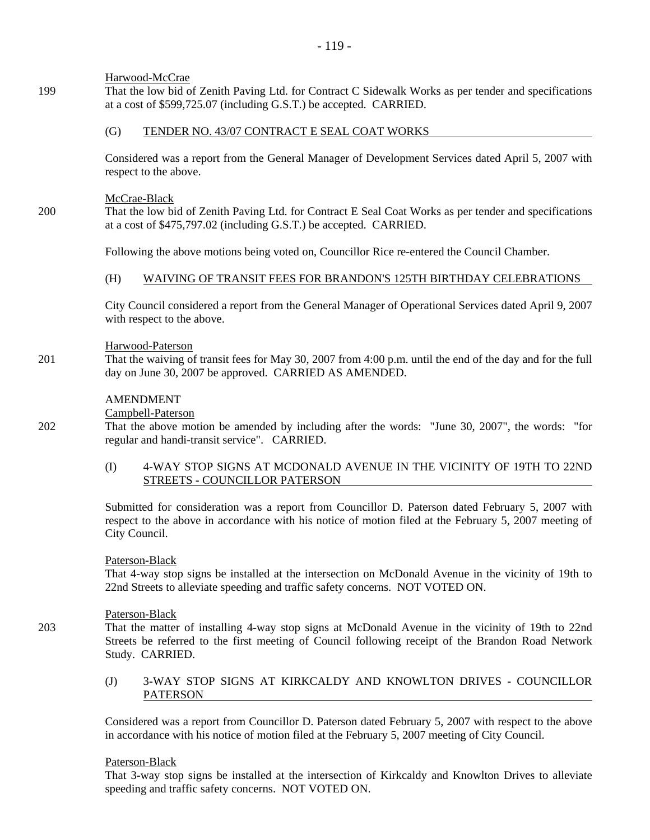# Harwood-McCrae

199 That the low bid of Zenith Paving Ltd. for Contract C Sidewalk Works as per tender and specifications at a cost of \$599,725.07 (including G.S.T.) be accepted. CARRIED.

# (G) TENDER NO. 43/07 CONTRACT E SEAL COAT WORKS

Considered was a report from the General Manager of Development Services dated April 5, 2007 with respect to the above.

#### McCrae-Black

200 That the low bid of Zenith Paving Ltd. for Contract E Seal Coat Works as per tender and specifications at a cost of \$475,797.02 (including G.S.T.) be accepted. CARRIED.

Following the above motions being voted on, Councillor Rice re-entered the Council Chamber.

# (H) WAIVING OF TRANSIT FEES FOR BRANDON'S 125TH BIRTHDAY CELEBRATIONS

City Council considered a report from the General Manager of Operational Services dated April 9, 2007 with respect to the above.

#### Harwood-Paterson

201 That the waiving of transit fees for May 30, 2007 from 4:00 p.m. until the end of the day and for the full day on June 30, 2007 be approved. CARRIED AS AMENDED.

# AMENDMENT

#### Campbell-Paterson

202 That the above motion be amended by including after the words: "June 30, 2007", the words: "for regular and handi-transit service". CARRIED.

# (I) 4-WAY STOP SIGNS AT MCDONALD AVENUE IN THE VICINITY OF 19TH TO 22ND STREETS - COUNCILLOR PATERSON

Submitted for consideration was a report from Councillor D. Paterson dated February 5, 2007 with respect to the above in accordance with his notice of motion filed at the February 5, 2007 meeting of City Council.

#### Paterson-Black

That 4-way stop signs be installed at the intersection on McDonald Avenue in the vicinity of 19th to 22nd Streets to alleviate speeding and traffic safety concerns. NOT VOTED ON.

#### Paterson-Black

203 That the matter of installing 4-way stop signs at McDonald Avenue in the vicinity of 19th to 22nd Streets be referred to the first meeting of Council following receipt of the Brandon Road Network Study. CARRIED.

# (J) 3-WAY STOP SIGNS AT KIRKCALDY AND KNOWLTON DRIVES - COUNCILLOR PATERSON

Considered was a report from Councillor D. Paterson dated February 5, 2007 with respect to the above in accordance with his notice of motion filed at the February 5, 2007 meeting of City Council.

#### Paterson-Black

That 3-way stop signs be installed at the intersection of Kirkcaldy and Knowlton Drives to alleviate speeding and traffic safety concerns. NOT VOTED ON.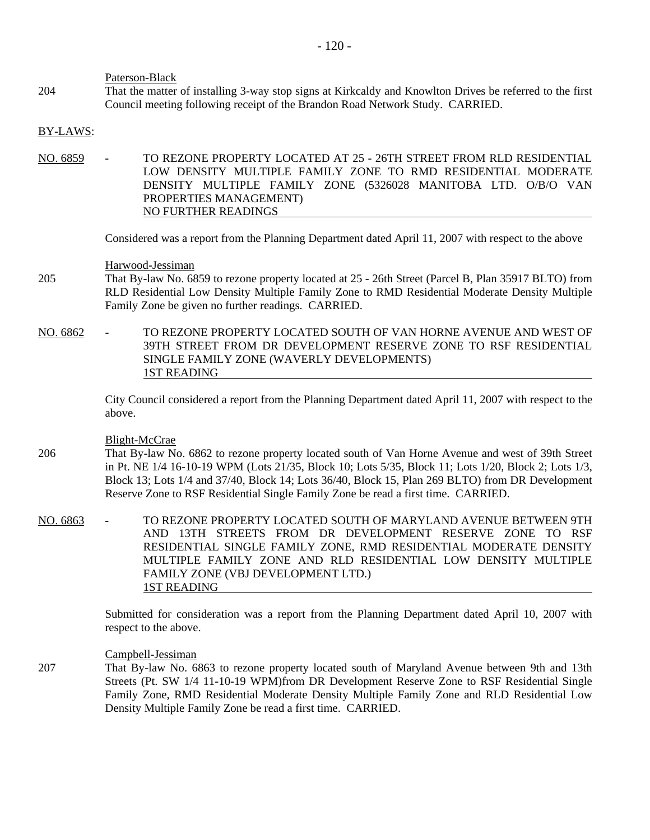#### Paterson-Black

204 That the matter of installing 3-way stop signs at Kirkcaldy and Knowlton Drives be referred to the first Council meeting following receipt of the Brandon Road Network Study. CARRIED.

#### BY-LAWS:

NO. 6859 - TO REZONE PROPERTY LOCATED AT 25 - 26TH STREET FROM RLD RESIDENTIAL LOW DENSITY MULTIPLE FAMILY ZONE TO RMD RESIDENTIAL MODERATE DENSITY MULTIPLE FAMILY ZONE (5326028 MANITOBA LTD. O/B/O VAN PROPERTIES MANAGEMENT) NO FURTHER READINGS

Considered was a report from the Planning Department dated April 11, 2007 with respect to the above

Harwood-Jessiman

- 205 That By-law No. 6859 to rezone property located at 25 26th Street (Parcel B, Plan 35917 BLTO) from RLD Residential Low Density Multiple Family Zone to RMD Residential Moderate Density Multiple Family Zone be given no further readings. CARRIED.
- NO. 6862 TO REZONE PROPERTY LOCATED SOUTH OF VAN HORNE AVENUE AND WEST OF 39TH STREET FROM DR DEVELOPMENT RESERVE ZONE TO RSF RESIDENTIAL SINGLE FAMILY ZONE (WAVERLY DEVELOPMENTS) 1ST READING

City Council considered a report from the Planning Department dated April 11, 2007 with respect to the above.

#### Blight-McCrae

- 206 That By-law No. 6862 to rezone property located south of Van Horne Avenue and west of 39th Street in Pt. NE 1/4 16-10-19 WPM (Lots 21/35, Block 10; Lots 5/35, Block 11; Lots 1/20, Block 2; Lots 1/3, Block 13; Lots 1/4 and 37/40, Block 14; Lots 36/40, Block 15, Plan 269 BLTO) from DR Development Reserve Zone to RSF Residential Single Family Zone be read a first time. CARRIED.
- NO. 6863 TO REZONE PROPERTY LOCATED SOUTH OF MARYLAND AVENUE BETWEEN 9TH AND 13TH STREETS FROM DR DEVELOPMENT RESERVE ZONE TO RSF RESIDENTIAL SINGLE FAMILY ZONE, RMD RESIDENTIAL MODERATE DENSITY MULTIPLE FAMILY ZONE AND RLD RESIDENTIAL LOW DENSITY MULTIPLE FAMILY ZONE (VBJ DEVELOPMENT LTD.) 1ST READING

Submitted for consideration was a report from the Planning Department dated April 10, 2007 with respect to the above.

Campbell-Jessiman

207 That By-law No. 6863 to rezone property located south of Maryland Avenue between 9th and 13th Streets (Pt. SW 1/4 11-10-19 WPM)from DR Development Reserve Zone to RSF Residential Single Family Zone, RMD Residential Moderate Density Multiple Family Zone and RLD Residential Low Density Multiple Family Zone be read a first time. CARRIED.